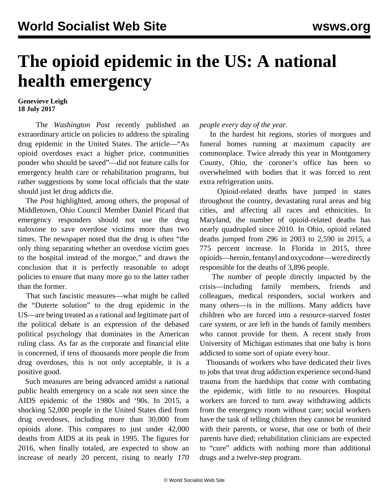## **The opioid epidemic in the US: A national health emergency**

## **Genevieve Leigh 18 July 2017**

 The *Washington Post* recently published an extraordinary article on policies to address the spiraling drug epidemic in the United States. The article—"As opioid overdoses exact a higher price, communities ponder who should be saved"—did not feature calls for emergency health care or rehabilitation programs, but rather suggestions by some local officials that the state should just let drug addicts die.

 The *Post* highlighted, among others, the proposal of Middletown, Ohio Council Member Daniel Picard that emergency responders should not use the drug naloxone to save overdose victims more than two times. The newspaper noted that the drug is often "the only thing separating whether an overdose victim goes to the hospital instead of the morgue," and draws the conclusion that it is perfectly reasonable to adopt policies to ensure that many more go to the latter rather than the former.

 That such fascistic measures—what might be called the "Duterte solution" to the drug epidemic in the US—are being treated as a rational and legitimate part of the political debate is an expression of the debased political psychology that dominates in the American ruling class. As far as the corporate and financial elite is concerned, if tens of thousands more people die from drug overdoses, this is not only acceptable, it is a positive good.

 Such measures are being advanced amidst a national public health emergency on a scale not seen since the AIDS epidemic of the 1980s and '90s. In 2015, a shocking 52,000 people in the United States died from drug overdoses, including more than 30,000 from opioids alone. This compares to just under 42,000 deaths from AIDS at its peak in 1995. The figures for 2016, when finally totaled, are expected to show an increase of nearly 20 percent, rising to nearly *170*

## *people every day of the year.*

 In the hardest hit regions, stories of morgues and funeral homes running at maximum capacity are commonplace. Twice already this year in Montgomery County, Ohio, the coroner's office has been so overwhelmed with bodies that it was forced to rent extra refrigeration units.

 Opioid-related deaths have jumped in states throughout the country, devastating rural areas and big cities, and affecting all races and ethnicities. In Maryland, the number of opioid-related deaths has nearly quadrupled since 2010. In Ohio, opioid related deaths jumped from 296 in 2003 to 2,590 in 2015, a 775 percent increase. In Florida in 2015, three opioids—heroin, fentanyl and oxycodone—were directly responsible for the deaths of 3,896 people.

 The number of people directly impacted by the crisis—including family members, friends and colleagues, medical responders, social workers and many others—is in the millions. Many addicts have children who are forced into a resource-starved foster care system, or are left in the hands of family members who cannot provide for them. A recent study from University of Michigan estimates that one baby is born addicted to some sort of opiate every hour.

 Thousands of workers who have dedicated their lives to jobs that treat drug addiction experience second-hand trauma from the hardships that come with combating the epidemic, with little to no resources. Hospital workers are forced to turn away withdrawing addicts from the emergency room without care; social workers have the task of telling children they cannot be reunited with their parents, or worse, that one or both of their parents have died; rehabilitation clinicians are expected to "cure" addicts with nothing more than additional drugs and a twelve-step program.